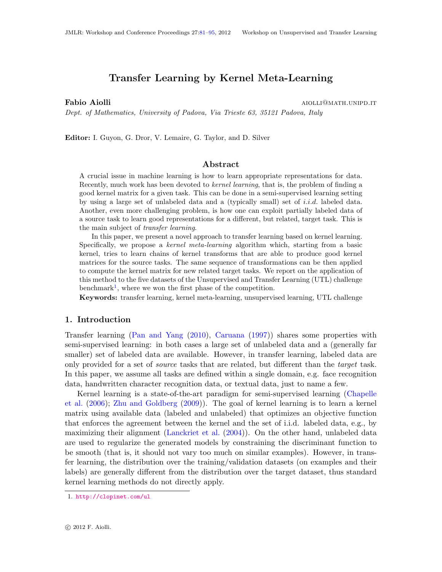# Transfer Learning by Kernel Meta-Learning

**Fabio Aiolli** and the settlement of the settlement of the settlement of the settlement of the settlement of the set

Dept. of Mathematics, University of Padova, Via Trieste 63, 35121 Padova, Italy

Editor: I. Guyon, G. Dror, V. Lemaire, G. Taylor, and D. Silver

## Abstract

A crucial issue in machine learning is how to learn appropriate representations for data. Recently, much work has been devoted to *kernel learning*, that is, the problem of finding a good kernel matrix for a given task. This can be done in a semi-supervised learning setting by using a large set of unlabeled data and a (typically small) set of i.i.d. labeled data. Another, even more challenging problem, is how one can exploit partially labeled data of a source task to learn good representations for a different, but related, target task. This is the main subject of transfer learning.

In this paper, we present a novel approach to transfer learning based on kernel learning. Specifically, we propose a kernel meta-learning algorithm which, starting from a basic kernel, tries to learn chains of kernel transforms that are able to produce good kernel matrices for the source tasks. The same sequence of transformations can be then applied to compute the kernel matrix for new related target tasks. We report on the application of this method to the five datasets of the Unsupervised and Transfer Learning (UTL) challenge benchmark<sup>[1](#page-0-0)</sup>, where we won the first phase of the competition.

Keywords: transfer learning, kernel meta-learning, unsupervised learning, UTL challenge

#### 1. Introduction

Transfer learning [\(Pan and Yang](#page-14-1) [\(2010\)](#page-14-1), [Caruana](#page-14-2) [\(1997\)](#page-14-2)) shares some properties with semi-supervised learning: in both cases a large set of unlabeled data and a (generally far smaller) set of labeled data are available. However, in transfer learning, labeled data are only provided for a set of source tasks that are related, but different than the target task. In this paper, we assume all tasks are defined within a single domain, e.g. face recognition data, handwritten character recognition data, or textual data, just to name a few.

Kernel learning is a state-of-the-art paradigm for semi-supervised learning [\(Chapelle](#page-14-3) [et al.](#page-14-3) [\(2006\)](#page-14-3); [Zhu and Goldberg](#page-14-4) [\(2009\)](#page-14-4)). The goal of kernel learning is to learn a kernel matrix using available data (labeled and unlabeled) that optimizes an objective function that enforces the agreement between the kernel and the set of i.i.d. labeled data, e.g., by maximizing their alignment [\(Lanckriet et al.](#page-14-5) [\(2004\)](#page-14-5)). On the other hand, unlabeled data are used to regularize the generated models by constraining the discriminant function to be smooth (that is, it should not vary too much on similar examples). However, in transfer learning, the distribution over the training/validation datasets (on examples and their labels) are generally different from the distribution over the target dataset, thus standard kernel learning methods do not directly apply.

<span id="page-0-0"></span><sup>1.</sup> <http://clopinet.com/ul>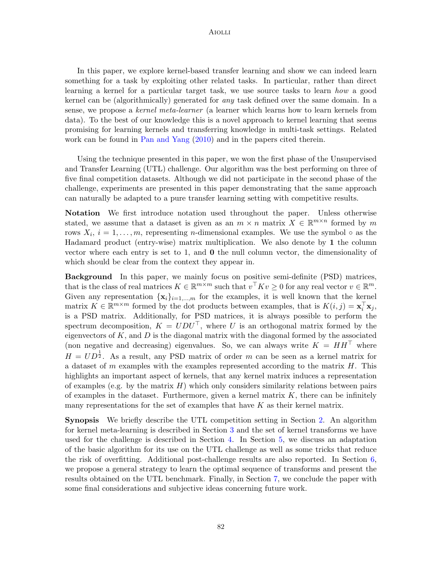### Aiolli

In this paper, we explore kernel-based transfer learning and show we can indeed learn something for a task by exploiting other related tasks. In particular, rather than direct learning a kernel for a particular target task, we use source tasks to learn how a good kernel can be (algorithmically) generated for any task defined over the same domain. In a sense, we propose a kernel meta-learner (a learner which learns how to learn kernels from data). To the best of our knowledge this is a novel approach to kernel learning that seems promising for learning kernels and transferring knowledge in multi-task settings. Related work can be found in [Pan and Yang](#page-14-1) [\(2010\)](#page-14-1) and in the papers cited therein.

Using the technique presented in this paper, we won the first phase of the Unsupervised and Transfer Learning (UTL) challenge. Our algorithm was the best performing on three of five final competition datasets. Although we did not participate in the second phase of the challenge, experiments are presented in this paper demonstrating that the same approach can naturally be adapted to a pure transfer learning setting with competitive results.

Notation We first introduce notation used throughout the paper. Unless otherwise stated, we assume that a dataset is given as an  $m \times n$  matrix  $X \in \mathbb{R}^{m \times n}$  formed by m rows  $X_i$ ,  $i = 1, \ldots, m$ , representing *n*-dimensional examples. We use the symbol  $\circ$  as the Hadamard product (entry-wise) matrix multiplication. We also denote by 1 the column vector where each entry is set to 1, and  $\bf{0}$  the null column vector, the dimensionality of which should be clear from the context they appear in.

Background In this paper, we mainly focus on positive semi-definite (PSD) matrices, that is the class of real matrices  $K \in \mathbb{R}^{m \times m}$  such that  $v^{\top} K v \geq 0$  for any real vector  $v \in \mathbb{R}^m$ . Given any representation  $\{x_i\}_{i=1,\dots,m}$  for the examples, it is well known that the kernel matrix  $K \in \mathbb{R}^{m \times m}$  formed by the dot products between examples, that is  $K(i, j) = \mathbf{x}_i^{\top} \mathbf{x}_j$ , is a PSD matrix. Additionally, for PSD matrices, it is always possible to perform the spectrum decomposition,  $K = UDU^{\top}$ , where U is an orthogonal matrix formed by the eigenvectors of  $K$ , and  $D$  is the diagonal matrix with the diagonal formed by the associated (non negative and decreasing) eigenvalues. So, we can always write  $K = HH<sup>T</sup>$  where  $H = UD^{\frac{1}{2}}$ . As a result, any PSD matrix of order m can be seen as a kernel matrix for a dataset of m examples with the examples represented according to the matrix  $H$ . This highlights an important aspect of kernels, that any kernel matrix induces a representation of examples (e.g. by the matrix  $H$ ) which only considers similarity relations between pairs of examples in the dataset. Furthermore, given a kernel matrix  $K$ , there can be infinitely many representations for the set of examples that have  $K$  as their kernel matrix.

Synopsis We briefly describe the UTL competition setting in Section [2.](#page-2-0) An algorithm for kernel meta-learning is described in Section [3](#page-3-0) and the set of kernel transforms we have used for the challenge is described in Section [4.](#page-4-0) In Section [5,](#page-7-0) we discuss an adaptation of the basic algorithm for its use on the UTL challenge as well as some tricks that reduce the risk of overfitting. Additional post-challenge results are also reported. In Section [6,](#page-8-0) we propose a general strategy to learn the optimal sequence of transforms and present the results obtained on the UTL benchmark. Finally, in Section [7,](#page-12-0) we conclude the paper with some final considerations and subjective ideas concerning future work.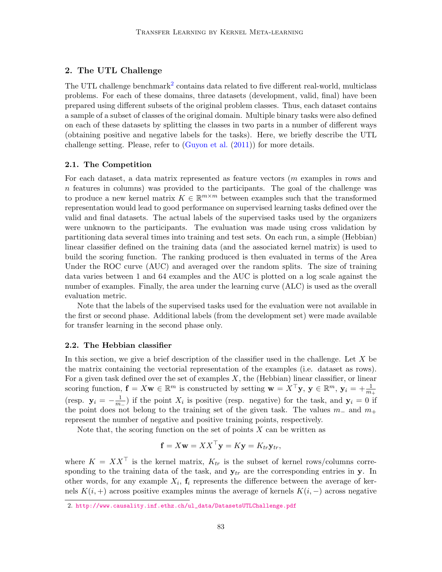## <span id="page-2-0"></span>2. The UTL Challenge

The UTL challenge benchmark<sup>[2](#page-2-1)</sup> contains data related to five different real-world, multiclass problems. For each of these domains, three datasets (development, valid, final) have been prepared using different subsets of the original problem classes. Thus, each dataset contains a sample of a subset of classes of the original domain. Multiple binary tasks were also defined on each of these datasets by splitting the classes in two parts in a number of different ways (obtaining positive and negative labels for the tasks). Here, we briefly describe the UTL challenge setting. Please, refer to [\(Guyon et al.](#page-14-6) [\(2011\)](#page-14-6)) for more details.

### 2.1. The Competition

For each dataset, a data matrix represented as feature vectors (m examples in rows and  $n$  features in columns) was provided to the participants. The goal of the challenge was to produce a new kernel matrix  $K \in \mathbb{R}^{m \times m}$  between examples such that the transformed representation would lead to good performance on supervised learning tasks defined over the valid and final datasets. The actual labels of the supervised tasks used by the organizers were unknown to the participants. The evaluation was made using cross validation by partitioning data several times into training and test sets. On each run, a simple (Hebbian) linear classifier defined on the training data (and the associated kernel matrix) is used to build the scoring function. The ranking produced is then evaluated in terms of the Area Under the ROC curve (AUC) and averaged over the random splits. The size of training data varies between 1 and 64 examples and the AUC is plotted on a log scale against the number of examples. Finally, the area under the learning curve (ALC) is used as the overall evaluation metric.

Note that the labels of the supervised tasks used for the evaluation were not available in the first or second phase. Additional labels (from the development set) were made available for transfer learning in the second phase only.

#### 2.2. The Hebbian classifier

In this section, we give a brief description of the classifier used in the challenge. Let  $X$  be the matrix containing the vectorial representation of the examples (i.e. dataset as rows). For a given task defined over the set of examples  $X$ , the (Hebbian) linear classifier, or linear scoring function,  $\mathbf{f} = X\mathbf{w} \in \mathbb{R}^m$  is constructed by setting  $\mathbf{w} = X^{\top} \mathbf{y}$ ,  $\mathbf{y} \in \mathbb{R}^m$ ,  $\mathbf{y}_i = +\frac{1}{m_+}$ (resp.  $\mathbf{y}_i = -\frac{1}{m_i}$  $\frac{1}{m-}$ ) if the point  $X_i$  is positive (resp. negative) for the task, and  $y_i = 0$  if the point does not belong to the training set of the given task. The values  $m_-\,$  and  $m_+$ represent the number of negative and positive training points, respectively.

Note that, the scoring function on the set of points  $X$  can be written as

$$
\mathbf{f} = X\mathbf{w} = XX^{\top}\mathbf{y} = K\mathbf{y} = K_{tr}\mathbf{y}_{tr},
$$

where  $K = XX^{\top}$  is the kernel matrix,  $K_{tr}$  is the subset of kernel rows/columns corresponding to the training data of the task, and  $y_{tr}$  are the corresponding entries in y. In other words, for any example  $X_i$ ,  $f_i$  represents the difference between the average of kernels  $K(i, +)$  across positive examples minus the average of kernels  $K(i, -)$  across negative

<span id="page-2-1"></span><sup>2.</sup> [http://www.causality.inf.ethz.ch/ul\\_data/DatasetsUTLChallenge.pdf](http://www.causality.inf.ethz.ch/ul_data/DatasetsUTLChallenge.pdf)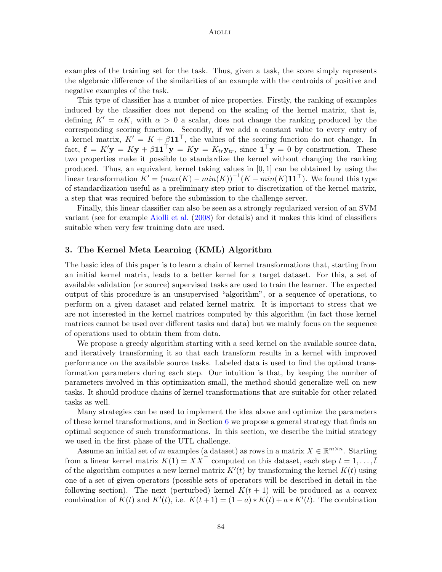examples of the training set for the task. Thus, given a task, the score simply represents the algebraic difference of the similarities of an example with the centroids of positive and negative examples of the task.

This type of classifier has a number of nice properties. Firstly, the ranking of examples induced by the classifier does not depend on the scaling of the kernel matrix, that is, defining  $K' = \alpha K$ , with  $\alpha > 0$  a scalar, does not change the ranking produced by the corresponding scoring function. Secondly, if we add a constant value to every entry of a kernel matrix,  $K' = K + \beta \mathbf{1} \mathbf{1}^\top$ , the values of the scoring function do not change. In fact,  $\mathbf{f} = K' \mathbf{y} = K \mathbf{y} + \beta \mathbf{1} \mathbf{1}^\top \mathbf{y} = K \mathbf{y} = K_{tr} \mathbf{y}_{tr}$ , since  $\mathbf{1}^\top \mathbf{y} = 0$  by construction. These two properties make it possible to standardize the kernel without changing the ranking produced. Thus, an equivalent kernel taking values in [0, 1] can be obtained by using the linear transformation  $K' = (max(K) - min(K))^{-1}(K - min(K)\mathbf{1} \mathbf{1}^{\top})$ . We found this type of standardization useful as a preliminary step prior to discretization of the kernel matrix, a step that was required before the submission to the challenge server.

Finally, this linear classifier can also be seen as a strongly regularized version of an SVM variant (see for example [Aiolli et al.](#page-14-7) [\(2008\)](#page-14-7) for details) and it makes this kind of classifiers suitable when very few training data are used.

## <span id="page-3-0"></span>3. The Kernel Meta Learning (KML) Algorithm

The basic idea of this paper is to learn a chain of kernel transformations that, starting from an initial kernel matrix, leads to a better kernel for a target dataset. For this, a set of available validation (or source) supervised tasks are used to train the learner. The expected output of this procedure is an unsupervised "algorithm", or a sequence of operations, to perform on a given dataset and related kernel matrix. It is important to stress that we are not interested in the kernel matrices computed by this algorithm (in fact those kernel matrices cannot be used over different tasks and data) but we mainly focus on the sequence of operations used to obtain them from data.

We propose a greedy algorithm starting with a seed kernel on the available source data, and iteratively transforming it so that each transform results in a kernel with improved performance on the available source tasks. Labeled data is used to find the optimal transformation parameters during each step. Our intuition is that, by keeping the number of parameters involved in this optimization small, the method should generalize well on new tasks. It should produce chains of kernel transformations that are suitable for other related tasks as well.

Many strategies can be used to implement the idea above and optimize the parameters of these kernel transformations, and in Section  $6$  we propose a general strategy that finds an optimal sequence of such transformations. In this section, we describe the initial strategy we used in the first phase of the UTL challenge.

Assume an initial set of m examples (a dataset) as rows in a matrix  $X \in \mathbb{R}^{m \times n}$ . Starting from a linear kernel matrix  $K(1) = XX^{\top}$  computed on this dataset, each step  $t = 1, \ldots, \overline{t}$ of the algorithm computes a new kernel matrix  $K'(t)$  by transforming the kernel  $K(t)$  using one of a set of given operators (possible sets of operators will be described in detail in the following section). The next (perturbed) kernel  $K(t + 1)$  will be produced as a convex combination of  $K(t)$  and  $K'(t)$ , i.e.  $K(t+1) = (1-a) * K(t) + a * K'(t)$ . The combination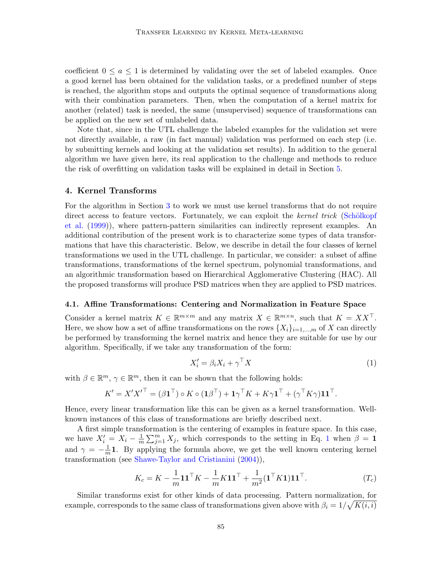coefficient  $0 \le a \le 1$  is determined by validating over the set of labeled examples. Once a good kernel has been obtained for the validation tasks, or a predefined number of steps is reached, the algorithm stops and outputs the optimal sequence of transformations along with their combination parameters. Then, when the computation of a kernel matrix for another (related) task is needed, the same (unsupervised) sequence of transformations can be applied on the new set of unlabeled data.

Note that, since in the UTL challenge the labeled examples for the validation set were not directly available, a raw (in fact manual) validation was performed on each step (i.e. by submitting kernels and looking at the validation set results). In addition to the general algorithm we have given here, its real application to the challenge and methods to reduce the risk of overfitting on validation tasks will be explained in detail in Section [5.](#page-7-0)

## <span id="page-4-0"></span>4. Kernel Transforms

For the algorithm in Section [3](#page-3-0) to work we must use kernel transforms that do not require direct access to feature vectors. Fortunately, we can exploit the kernel trick (Schölkopf [et al.](#page-14-8) [\(1999\)](#page-14-8)), where pattern-pattern similarities can indirectly represent examples. An additional contribution of the present work is to characterize some types of data transformations that have this characteristic. Below, we describe in detail the four classes of kernel transformations we used in the UTL challenge. In particular, we consider: a subset of affine transformations, transformations of the kernel spectrum, polynomial transformations, and an algorithmic transformation based on Hierarchical Agglomerative Clustering (HAC). All the proposed transforms will produce PSD matrices when they are applied to PSD matrices.

### 4.1. Affine Transformations: Centering and Normalization in Feature Space

Consider a kernel matrix  $K \in \mathbb{R}^{m \times m}$  and any matrix  $X \in \mathbb{R}^{m \times n}$ , such that  $K = XX^{\top}$ . Here, we show how a set of affine transformations on the rows  $\{X_i\}_{i=1,\dots,m}$  of X can directly be performed by transforming the kernel matrix and hence they are suitable for use by our algorithm. Specifically, if we take any transformation of the form:

<span id="page-4-1"></span>
$$
X_i' = \beta_i X_i + \gamma^\top X \tag{1}
$$

with  $\beta \in \mathbb{R}^m$ ,  $\gamma \in \mathbb{R}^m$ , then it can be shown that the following holds:

$$
K' = X'X'^{\top} = (\beta \mathbf{1}^{\top}) \circ K \circ (\mathbf{1}\beta^{\top}) + \mathbf{1}\gamma^{\top} K + K\gamma \mathbf{1}^{\top} + (\gamma^{\top} K\gamma)\mathbf{1}\mathbf{1}^{\top}.
$$

Hence, every linear transformation like this can be given as a kernel transformation. Wellknown instances of this class of transformations are briefly described next.

A first simple transformation is the centering of examples in feature space. In this case, we have  $X'_i = X_i - \frac{1}{m}$  $\frac{1}{m}\sum_{j=1}^{m} X_j$  $\frac{1}{m}\sum_{j=1}^{m} X_j$  $\frac{1}{m}\sum_{j=1}^{m} X_j$ , which corresponds to the setting in Eq. 1 when  $\beta = 1$ and  $\gamma = -\frac{1}{n}$  $\frac{1}{m}$ **1**. By applying the formula above, we get the well known centering kernel transformation (see [Shawe-Taylor and Cristianini](#page-14-9) [\(2004\)](#page-14-9)),

$$
K_c = K - \frac{1}{m} \mathbf{1} \mathbf{1}^\top K - \frac{1}{m} K \mathbf{1} \mathbf{1}^\top + \frac{1}{m^2} (\mathbf{1}^\top K \mathbf{1}) \mathbf{1} \mathbf{1}^\top. \tag{T_c}
$$

Similar transforms exist for other kinds of data processing. Pattern normalization, for example, corresponds to the same class of transformations given above with  $\beta_i = 1/\sqrt{K(i,i)}$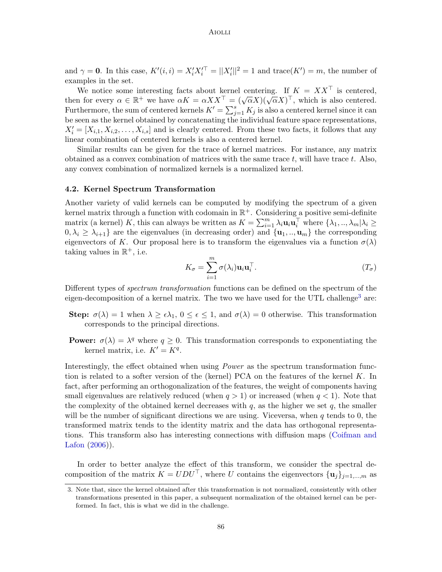### Aiolli

and  $\gamma = 0$ . In this case,  $K'(i, i) = X_i' X_i'^{\top} = ||X_i'||^2 = 1$  and  $trace(K') = m$ , the number of examples in the set.

We notice some interesting facts about kernel centering. If  $K = XX^{\top}$  is centered, we notice some interesting racts about kerner centering. If  $K = AX$  is centered,<br>then for every  $\alpha \in \mathbb{R}^+$  we have  $\alpha K = \alpha X X^\top = (\sqrt{\alpha} X)(\sqrt{\alpha} X)^\top$ , which is also centered. Furthermore, the sum of centered kernels  $K' = \sum_{j=1}^{s} K_j$  is also a centered kernel since it can be seen as the kernel obtained by concatenating the individual feature space representations,  $X'_{i} = [X_{i,1}, X_{i,2}, \ldots, X_{i,s}]$  and is clearly centered. From these two facts, it follows that any linear combination of centered kernels is also a centered kernel.

Similar results can be given for the trace of kernel matrices. For instance, any matrix obtained as a convex combination of matrices with the same trace  $t$ , will have trace  $t$ . Also, any convex combination of normalized kernels is a normalized kernel.

#### 4.2. Kernel Spectrum Transformation

Another variety of valid kernels can be computed by modifying the spectrum of a given kernel matrix through a function with codomain in  $\mathbb{R}^+$ . Considering a positive semi-definite matrix (a kernel) K, this can always be written as  $K = \sum_{i=1}^{m} \lambda_i \mathbf{u}_i \mathbf{u}_i^\top$  where  $\{\lambda_1, ..., \lambda_m | \lambda_i \geq \lambda_i\}$  $0, \lambda_i \geq \lambda_{i+1}$  are the eigenvalues (in decreasing order) and  $\{u_1, \dots, u_m\}$  the corresponding eigenvectors of K. Our proposal here is to transform the eigenvalues via a function  $\sigma(\lambda)$ taking values in  $\mathbb{R}^+$ , i.e.

$$
K_{\sigma} = \sum_{i=1}^{m} \sigma(\lambda_i) \mathbf{u}_i \mathbf{u}_i^{\top}.
$$
 (T<sub>\sigma</sub>)

Different types of spectrum transformation functions can be defined on the spectrum of the eigen-decomposition of a kernel matrix. The two we have used for the UTL challenge<sup>[3](#page-5-0)</sup> are:

- **Step:**  $\sigma(\lambda) = 1$  when  $\lambda \geq \epsilon \lambda_1$ ,  $0 \leq \epsilon \leq 1$ , and  $\sigma(\lambda) = 0$  otherwise. This transformation corresponds to the principal directions.
- **Power:**  $\sigma(\lambda) = \lambda^q$  where  $q \geq 0$ . This transformation corresponds to exponentiating the kernel matrix, i.e.  $K' = K<sup>q</sup>$ .

Interestingly, the effect obtained when using *Power* as the spectrum transformation function is related to a softer version of the (kernel) PCA on the features of the kernel  $K$ . In fact, after performing an orthogonalization of the features, the weight of components having small eigenvalues are relatively reduced (when  $q > 1$ ) or increased (when  $q < 1$ ). Note that the complexity of the obtained kernel decreases with  $q$ , as the higher we set  $q$ , the smaller will be the number of significant directions we are using. Viceversa, when  $q$  tends to  $0$ , the transformed matrix tends to the identity matrix and the data has orthogonal representations. This transform also has interesting connections with diffusion maps [\(Coifman and](#page-14-10) [Lafon](#page-14-10) [\(2006\)](#page-14-10)).

In order to better analyze the effect of this transform, we consider the spectral decomposition of the matrix  $K = UDU^{\top}$ , where U contains the eigenvectors  $\{u_i\}_{i=1,\dots,m}$  as

<span id="page-5-0"></span><sup>3.</sup> Note that, since the kernel obtained after this transformation is not normalized, consistently with other transformations presented in this paper, a subsequent normalization of the obtained kernel can be performed. In fact, this is what we did in the challenge.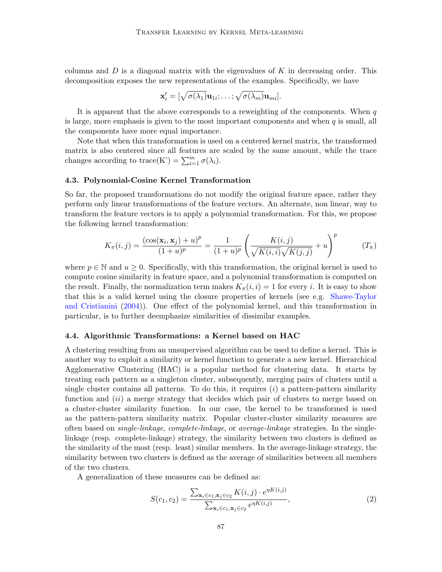columns and  $D$  is a diagonal matrix with the eigenvalues of  $K$  in decreasing order. This decomposition exposes the new representations of the examples. Specifically, we have

$$
\mathbf{x}'_i = [\sqrt{\sigma(\lambda_1)}\mathbf{u}_{1i}; \ldots; \sqrt{\sigma(\lambda_m)}\mathbf{u}_{mi}].
$$

It is apparent that the above corresponds to a reweighting of the components. When  $q$ is large, more emphasis is given to the most important components and when  $q$  is small, all the components have more equal importance.

Note that when this transformation is used on a centered kernel matrix, the transformed matrix is also centered since all features are scaled by the same amount, while the trace changes according to trace(K') =  $\sum_{i=1}^{m} \sigma(\lambda_i)$ .

### 4.3. Polynomial-Cosine Kernel Transformation

So far, the proposed transformations do not modify the original feature space, rather they perform only linear transformations of the feature vectors. An alternate, non linear, way to transform the feature vectors is to apply a polynomial transformation. For this, we propose the following kernel transformation:

$$
K_{\pi}(i,j) = \frac{(\cos(\mathbf{x}_i, \mathbf{x}_j) + u)^p}{(1+u)^p} = \frac{1}{(1+u)^p} \left(\frac{K(i,j)}{\sqrt{K(i,i)}\sqrt{K(j,j)}} + u\right)^p \qquad (T_{\pi})
$$

where  $p \in \mathbb{N}$  and  $u > 0$ . Specifically, with this transformation, the original kernel is used to compute cosine similarity in feature space, and a polynomial transformation is computed on the result. Finally, the normalization term makes  $K_\pi(i, i) = 1$  for every i. It is easy to show that this is a valid kernel using the closure properties of kernels (see e.g. [Shawe-Taylor](#page-14-9) [and Cristianini](#page-14-9) [\(2004\)](#page-14-9)). One effect of the polynomial kernel, and this transformation in particular, is to further deemphasize similarities of dissimilar examples.

#### 4.4. Algorithmic Transformations: a Kernel based on HAC

A clustering resulting from an unsupervised algorithm can be used to define a kernel. This is another way to exploit a similarity or kernel function to generate a new kernel. Hierarchical Agglomerative Clustering (HAC) is a popular method for clustering data. It starts by treating each pattern as a singleton cluster, subsequently, merging pairs of clusters until a single cluster contains all patterns. To do this, it requires  $(i)$  a pattern-pattern similarity function and *(ii)* a merge strategy that decides which pair of clusters to merge based on a cluster-cluster similarity function. In our case, the kernel to be transformed is used as the pattern-pattern similarity matrix. Popular cluster-cluster similarity measures are often based on single-linkage, complete-linkage, or average-linkage strategies. In the singlelinkage (resp. complete-linkage) strategy, the similarity between two clusters is defined as the similarity of the most (resp. least) similar members. In the average-linkage strategy, the similarity between two clusters is defined as the average of similarities between all members of the two clusters.

A generalization of these measures can be defined as:

$$
S(c_1, c_2) = \frac{\sum_{\mathbf{x}_i \in c_1, \mathbf{x}_j \in c_2} K(i, j) \cdot e^{\eta K(i, j)}}{\sum_{\mathbf{x}_i \in c_1, \mathbf{x}_j \in c_2} e^{\eta K(i, j)}},
$$
\n(2)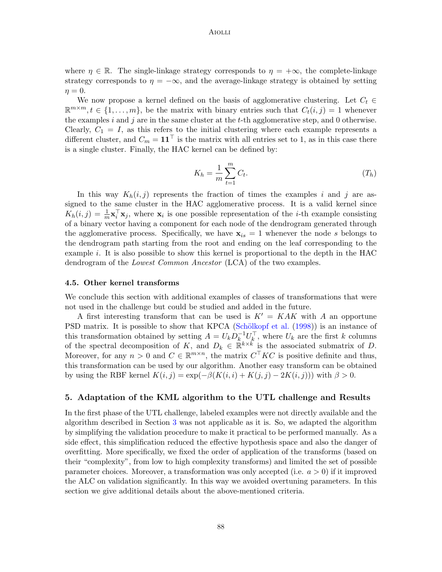### **AIOLLI**

where  $\eta \in \mathbb{R}$ . The single-linkage strategy corresponds to  $\eta = +\infty$ , the complete-linkage strategy corresponds to  $\eta = -\infty$ , and the average-linkage strategy is obtained by setting  $\eta = 0.$ 

We now propose a kernel defined on the basis of agglomerative clustering. Let  $C_t \in$  $\mathbb{R}^{m \times m}, t \in \{1, \ldots, m\},\$ be the matrix with binary entries such that  $C_t(i,j) = 1$  whenever the examples i and j are in the same cluster at the t-th agglomerative step, and 0 otherwise. Clearly,  $C_1 = I$ , as this refers to the initial clustering where each example represents a different cluster, and  $C_m = 11^{\top}$  is the matrix with all entries set to 1, as in this case there is a single cluster. Finally, the HAC kernel can be defined by:

$$
K_h = \frac{1}{m} \sum_{t=1}^{m} C_t.
$$
\n
$$
(T_h)
$$

In this way  $K_h(i, j)$  represents the fraction of times the examples i and j are assigned to the same cluster in the HAC agglomerative process. It is a valid kernel since  $K_h(i,j) = \frac{1}{m} \mathbf{x}_i^{\top} \mathbf{x}_j$ , where  $\mathbf{x}_i$  is one possible representation of the *i*-th example consisting of a binary vector having a component for each node of the dendrogram generated through the agglomerative process. Specifically, we have  $x_{is} = 1$  whenever the node s belongs to the dendrogram path starting from the root and ending on the leaf corresponding to the example i. It is also possible to show this kernel is proportional to the depth in the HAC dendrogram of the *Lowest Common Ancestor* (LCA) of the two examples.

#### 4.5. Other kernel transforms

We conclude this section with additional examples of classes of transformations that were not used in the challenge but could be studied and added in the future.

A first interesting transform that can be used is  $K' = KAK$  with A an opportune PSD matrix. It is possible to show that KPCA (Schölkopf et al. [\(1998\)](#page-14-11)) is an instance of this transformation obtained by setting  $A = U_k D_k^{-1} U_k^{\top}$ , where  $U_k$  are the first k columns of the spectral decomposition of K, and  $D_k \in \mathbb{R}^{k \times k}$  is the associated submatrix of D. Moreover, for any  $n > 0$  and  $C \in \mathbb{R}^{m \times n}$ , the matrix  $C<sup>T</sup> K C$  is positive definite and thus, this transformation can be used by our algorithm. Another easy transform can be obtained by using the RBF kernel  $K(i, j) = \exp(-\beta(K(i, i) + K(j, j) - 2K(i, j)))$  with  $\beta > 0$ .

## <span id="page-7-0"></span>5. Adaptation of the KML algorithm to the UTL challenge and Results

In the first phase of the UTL challenge, labeled examples were not directly available and the algorithm described in Section [3](#page-3-0) was not applicable as it is. So, we adapted the algorithm by simplifying the validation procedure to make it practical to be performed manually. As a side effect, this simplification reduced the effective hypothesis space and also the danger of overfitting. More specifically, we fixed the order of application of the transforms (based on their "complexity", from low to high complexity transforms) and limited the set of possible parameter choices. Moreover, a transformation was only accepted (i.e.  $a > 0$ ) if it improved the ALC on validation significantly. In this way we avoided overtuning parameters. In this section we give additional details about the above-mentioned criteria.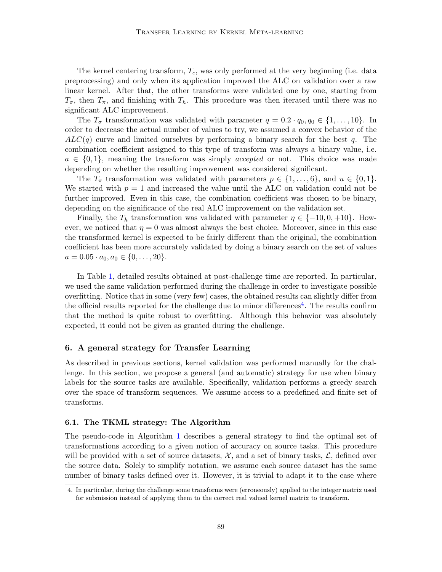The kernel centering transform,  $T_c$ , was only performed at the very beginning (i.e. data preprocessing) and only when its application improved the ALC on validation over a raw linear kernel. After that, the other transforms were validated one by one, starting from  $T_{\sigma}$ , then  $T_{\pi}$ , and finishing with  $T_h$ . This procedure was then iterated until there was no significant ALC improvement.

The  $T_{\sigma}$  transformation was validated with parameter  $q = 0.2 \cdot q_0, q_0 \in \{1, ..., 10\}$ . In order to decrease the actual number of values to try, we assumed a convex behavior of the  $ALC(q)$  curve and limited ourselves by performing a binary search for the best q. The combination coefficient assigned to this type of transform was always a binary value, i.e.  $a \in \{0,1\}$ , meaning the transform was simply *accepted* or not. This choice was made depending on whether the resulting improvement was considered significant.

The  $T_{\pi}$  transformation was validated with parameters  $p \in \{1, \ldots, 6\}$ , and  $u \in \{0, 1\}$ . We started with  $p = 1$  and increased the value until the ALC on validation could not be further improved. Even in this case, the combination coefficient was chosen to be binary, depending on the significance of the real ALC improvement on the validation set.

Finally, the  $T_h$  transformation was validated with parameter  $\eta \in \{-10, 0, +10\}$ . However, we noticed that  $\eta = 0$  was almost always the best choice. Moreover, since in this case the transformed kernel is expected to be fairly different than the original, the combination coefficient has been more accurately validated by doing a binary search on the set of values  $a = 0.05 \cdot a_0, a_0 \in \{0, \ldots, 20\}.$ 

In Table [1,](#page-9-0) detailed results obtained at post-challenge time are reported. In particular, we used the same validation performed during the challenge in order to investigate possible overfitting. Notice that in some (very few) cases, the obtained results can slightly differ from the official results reported for the challenge due to minor differences<sup>[4](#page-8-1)</sup>. The results confirm that the method is quite robust to overfitting. Although this behavior was absolutely expected, it could not be given as granted during the challenge.

## <span id="page-8-0"></span>6. A general strategy for Transfer Learning

As described in previous sections, kernel validation was performed manually for the challenge. In this section, we propose a general (and automatic) strategy for use when binary labels for the source tasks are available. Specifically, validation performs a greedy search over the space of transform sequences. We assume access to a predefined and finite set of transforms.

### <span id="page-8-2"></span>6.1. The TKML strategy: The Algorithm

The pseudo-code in Algorithm [1](#page-10-0) describes a general strategy to find the optimal set of transformations according to a given notion of accuracy on source tasks. This procedure will be provided with a set of source datasets,  $\mathcal{X}$ , and a set of binary tasks,  $\mathcal{L}$ , defined over the source data. Solely to simplify notation, we assume each source dataset has the same number of binary tasks defined over it. However, it is trivial to adapt it to the case where

<span id="page-8-1"></span><sup>4.</sup> In particular, during the challenge some transforms were (erroneously) applied to the integer matrix used for submission instead of applying them to the correct real valued kernel matrix to transform.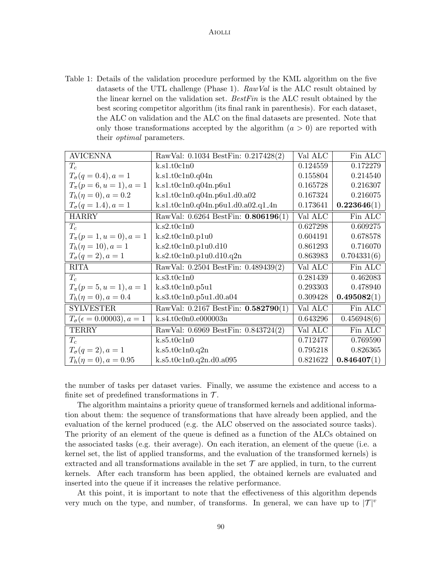<span id="page-9-0"></span>Table 1: Details of the validation procedure performed by the KML algorithm on the five datasets of the UTL challenge (Phase 1).  $RawVal$  is the ALC result obtained by the linear kernel on the validation set. BestFin is the ALC result obtained by the best scoring competitor algorithm (its final rank in parenthesis). For each dataset, the ALC on validation and the ALC on the final datasets are presented. Note that only those transformations accepted by the algorithm  $(a > 0)$  are reported with their optimal parameters.

| <b>AVICENNA</b>                                  | RawVal: 0.1034 BestFin: 0.217428(2) | Val ALC  | Fin ALC     |
|--------------------------------------------------|-------------------------------------|----------|-------------|
| $T_c$                                            | k.s1.t0c1n0                         | 0.124559 | 0.172279    |
| $T_{\sigma}(q=0.4), a=1$                         | k.s1.t0c1n0.q04n                    | 0.155804 | 0.214540    |
| $T_{\pi}(p=6, u=1), a=1$                         | k.s1.t0c1n0.q04n.p6u1               | 0.165728 | 0.216307    |
| $T_h(\eta = 0), a = 0.2$                         | k.s1.t0c1n0.q04n.p6u1.d0.a02        | 0.167324 | 0.216075    |
| $T_{\sigma}(q=1.4), a=1$                         | k.s1.t0c1n0.q04n.p6u1.d0.a02.q1_4n  | 0.173641 | 0.223646(1) |
| <b>HARRY</b>                                     | RawVal: 0.6264 BestFin: 0.806196(1) | Val ALC  | Fin ALC     |
| $T_c$                                            | k.s2.t0c1n0                         | 0.627298 | 0.609275    |
| $T_{\pi}(p=1, u=0), a=1$                         | k.s2.t0c1n0.p1u0                    | 0.604191 | 0.678578    |
| $T_h(\eta = 10), a = 1$                          | k.s2.t0c1n0.p1u0.d10                | 0.861293 | 0.716070    |
| $T_{\sigma}(q=2), a=1$                           | k.s2.t0c1n0.p1u0.d10.q2n            | 0.863983 | 0.704331(6) |
| <b>RITA</b>                                      | RawVal: 0.2504 BestFin: 0.489439(2) | Val ALC  | Fin ALC     |
| $T_c$                                            | k.s3.t0c1n0                         | 0.281439 | 0.462083    |
| $T_{\pi}(p=5, u=1), a=1$                         | k.s3.t0c1n0.p5u1                    | 0.293303 | 0.478940    |
| $T_h(\eta = 0), a = 0.4$                         | k.s3.t0c1n0.p5u1.d0.a04             | 0.309428 | 0.495082(1) |
| <b>SYLVESTER</b>                                 | RawVal: 0.2167 BestFin: 0.582790(1) | Val ALC  | Fin ALC     |
| $T_{\sigma}(\epsilon = 0.00003), a = 1$          | k.s4.t0c0n0.e000003n                | 0.643296 | 0.456948(6) |
| <b>TERRY</b>                                     | RawVal: 0.6969 BestFin: 0.843724(2) | Val ALC  | Fin ALC     |
| $T_c$                                            | k.s5.t0c1n0                         | 0.712477 | 0.769590    |
| $T_{\sigma}(q=2), a=1$                           | k.s5.t0c1n0.q2n                     |          | 0.826365    |
| $T_h(\eta=0), a=0.95$<br>k.s5.t0c1n0.q2n.d0.a095 |                                     | 0.821622 | 0.846407(1) |

the number of tasks per dataset varies. Finally, we assume the existence and access to a finite set of predefined transformations in  $\mathcal{T}$ .

The algorithm maintains a priority queue of transformed kernels and additional information about them: the sequence of transformations that have already been applied, and the evaluation of the kernel produced (e.g. the ALC observed on the associated source tasks). The priority of an element of the queue is defined as a function of the ALCs obtained on the associated tasks (e.g. their average). On each iteration, an element of the queue (i.e. a kernel set, the list of applied transforms, and the evaluation of the transformed kernels) is extracted and all transformations available in the set  $\mathcal T$  are applied, in turn, to the current kernels. After each transform has been applied, the obtained kernels are evaluated and inserted into the queue if it increases the relative performance.

At this point, it is important to note that the effectiveness of this algorithm depends very much on the type, and number, of transforms. In general, we can have up to  $|\mathcal{T}|^v$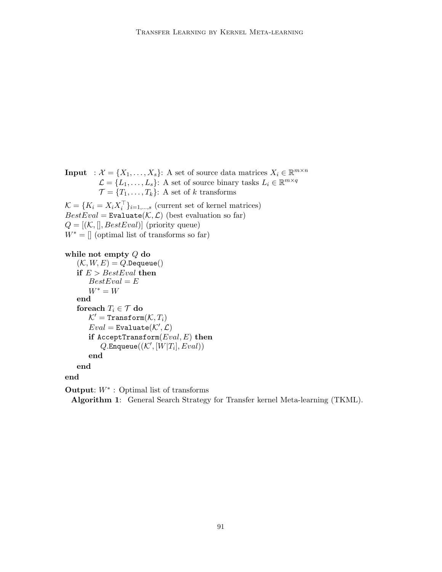**Input** :  $\mathcal{X} = \{X_1, \ldots, X_s\}$ : A set of source data matrices  $X_i \in \mathbb{R}^{m \times n}$  $\mathcal{L} = \{L_1, \ldots, L_s\}$ : A set of source binary tasks  $L_i \in \mathbb{R}^{m \times q}$  $\mathcal{T} = \{T_1, \ldots, T_k\}$ : A set of k transforms  $\mathcal{K} = \{K_i = X_i X_i^{\top}\}_{i=1,\dots,s}$  (current set of kernel matrices)

 $BestEval = Evaluate(K, \mathcal{L})$  (best evaluation so far)  $Q = [(\mathcal{K},[],BestEval)]$  (priority queue)  $W^* = \parallel$  (optimal list of transforms so far)

```
while not empty Q do
```

```
(\mathcal{K}, W, E) = Q.Dequeue()if E > BestEval then
    BestEval = EW^* = Wend
foreach T_i \in \mathcal{T} do
    \mathcal{K}' = Transform(\mathcal{K}, T_i)Eval = \text{Evaluate}(\mathcal{K}', \mathcal{L})if AcceptTransform(Eval, E) then
          Q.\mathtt{Enqueue}((\mathcal{K}^\prime, [\dot{W}|T_i], \dot{Eval}))end
end
```
end

**Output:**  $W^*$ : Optimal list of transforms

<span id="page-10-0"></span>Algorithm 1: General Search Strategy for Transfer kernel Meta-learning (TKML).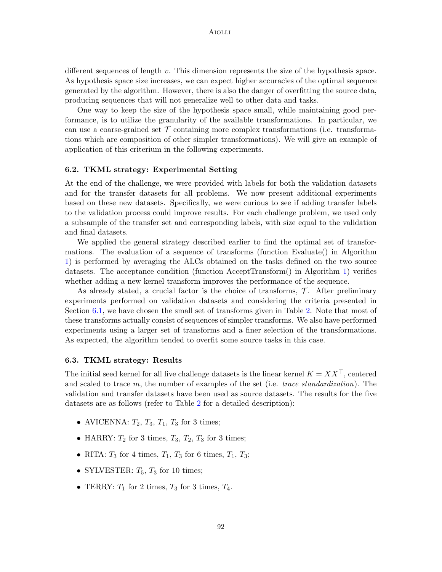different sequences of length  $v$ . This dimension represents the size of the hypothesis space. As hypothesis space size increases, we can expect higher accuracies of the optimal sequence generated by the algorithm. However, there is also the danger of overfitting the source data, producing sequences that will not generalize well to other data and tasks.

One way to keep the size of the hypothesis space small, while maintaining good performance, is to utilize the granularity of the available transformations. In particular, we can use a coarse-grained set  $\mathcal T$  containing more complex transformations (i.e. transformations which are composition of other simpler transformations). We will give an example of application of this criterium in the following experiments.

## 6.2. TKML strategy: Experimental Setting

At the end of the challenge, we were provided with labels for both the validation datasets and for the transfer datasets for all problems. We now present additional experiments based on these new datasets. Specifically, we were curious to see if adding transfer labels to the validation process could improve results. For each challenge problem, we used only a subsample of the transfer set and corresponding labels, with size equal to the validation and final datasets.

We applied the general strategy described earlier to find the optimal set of transformations. The evaluation of a sequence of transforms (function Evaluate() in Algorithm [1\)](#page-10-0) is performed by averaging the ALCs obtained on the tasks defined on the two source datasets. The acceptance condition (function AcceptTransform() in Algorithm [1\)](#page-10-0) verifies whether adding a new kernel transform improves the performance of the sequence.

As already stated, a crucial factor is the choice of transforms,  $\mathcal{T}$ . After preliminary experiments performed on validation datasets and considering the criteria presented in Section [6.1,](#page-8-2) we have chosen the small set of transforms given in Table [2.](#page-12-1) Note that most of these transforms actually consist of sequences of simpler transforms. We also have performed experiments using a larger set of transforms and a finer selection of the transformations. As expected, the algorithm tended to overfit some source tasks in this case.

#### 6.3. TKML strategy: Results

The initial seed kernel for all five challenge datasets is the linear kernel  $K = XX^{\top}$ , centered and scaled to trace  $m$ , the number of examples of the set (i.e. *trace standardization*). The validation and transfer datasets have been used as source datasets. The results for the five datasets are as follows (refer to Table [2](#page-12-1) for a detailed description):

- AVICENNA:  $T_2$ ,  $T_3$ ,  $T_1$ ,  $T_3$  for 3 times;
- HARRY:  $T_2$  for 3 times,  $T_3$ ,  $T_2$ ,  $T_3$  for 3 times;
- RITA:  $T_3$  for 4 times,  $T_1$ ,  $T_3$  for 6 times,  $T_1$ ,  $T_3$ ;
- SYLVESTER:  $T_5$ ,  $T_3$  for 10 times;
- TERRY:  $T_1$  for 2 times,  $T_3$  for 3 times,  $T_4$ .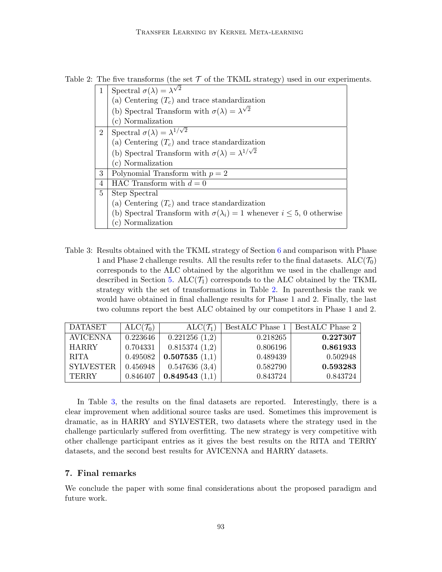<span id="page-12-1"></span>Table 2: The five transforms (the set  $\mathcal T$  of the TKML strategy) used in our experiments.

| 1              | Spectral $\sigma(\lambda) = \lambda^{\sqrt{2}}$                                       |  |  |  |  |  |
|----------------|---------------------------------------------------------------------------------------|--|--|--|--|--|
|                | (a) Centering $(T_c)$ and trace standardization                                       |  |  |  |  |  |
|                | (b) Spectral Transform with $\sigma(\lambda) = \lambda^{\sqrt{2}}$                    |  |  |  |  |  |
|                | (c) Normalization                                                                     |  |  |  |  |  |
| $\overline{2}$ | Spectral $\sigma(\lambda) = \lambda^{1/\sqrt{2}}$                                     |  |  |  |  |  |
|                | (a) Centering $(T_c)$ and trace standardization                                       |  |  |  |  |  |
|                | (b) Spectral Transform with $\sigma(\lambda) = \lambda^{1/\sqrt{2}}$                  |  |  |  |  |  |
|                | (c) Normalization                                                                     |  |  |  |  |  |
| 3              | Polynomial Transform with $p = 2$                                                     |  |  |  |  |  |
| 4              | HAC Transform with $d=0$                                                              |  |  |  |  |  |
| 5              | Step Spectral                                                                         |  |  |  |  |  |
|                | (a) Centering $(T_c)$ and trace standardization                                       |  |  |  |  |  |
|                | (b) Spectral Transform with $\sigma(\lambda_i) = 1$ whenever $i \leq 5$ , 0 otherwise |  |  |  |  |  |
|                | Normalization                                                                         |  |  |  |  |  |

<span id="page-12-2"></span>Table 3: Results obtained with the TKML strategy of Section [6](#page-8-0) and comparison with Phase 1 and Phase 2 challenge results. All the results refer to the final datasets.  $ALC(\mathcal{T}_0)$ corresponds to the ALC obtained by the algorithm we used in the challenge and described in Section [5.](#page-7-0)  $ALC(\mathcal{T}_1)$  corresponds to the ALC obtained by the TKML strategy with the set of transformations in Table [2.](#page-12-1) In parenthesis the rank we would have obtained in final challenge results for Phase 1 and 2. Finally, the last two columns report the best ALC obtained by our competitors in Phase 1 and 2.

| DATASET          | $ALC(\mathcal{T}_0)$ | $ALC(\mathcal{T}_1)$ | BestALC Phase 1 | BestALC Phase 2 |
|------------------|----------------------|----------------------|-----------------|-----------------|
| <b>AVICENNA</b>  | 0.223646             | 0.221256(1,2)        | 0.218265        | 0.227307        |
| <b>HARRY</b>     | 0.704331             | 0.815374(1,2)        | 0.806196        | 0.861933        |
| <b>RITA</b>      | 0.495082             | 0.507535(1,1)        | 0.489439        | 0.502948        |
| <b>SYLVESTER</b> | 0.456948             | 0.547636(3,4)        | 0.582790        | 0.593283        |
| <b>TERRY</b>     | 0.846407             | 0.849543(1,1)        | 0.843724        | 0.843724        |

In Table [3,](#page-12-2) the results on the final datasets are reported. Interestingly, there is a clear improvement when additional source tasks are used. Sometimes this improvement is dramatic, as in HARRY and SYLVESTER, two datasets where the strategy used in the challenge particularly suffered from overfitting. The new strategy is very competitive with other challenge participant entries as it gives the best results on the RITA and TERRY datasets, and the second best results for AVICENNA and HARRY datasets.

## <span id="page-12-0"></span>7. Final remarks

We conclude the paper with some final considerations about the proposed paradigm and future work.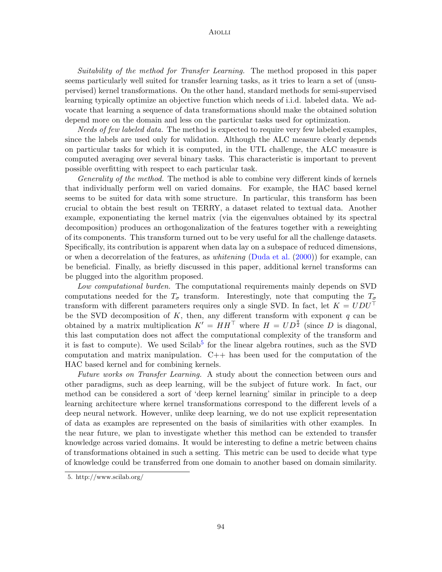### Aiolli

Suitability of the method for Transfer Learning. The method proposed in this paper seems particularly well suited for transfer learning tasks, as it tries to learn a set of (unsupervised) kernel transformations. On the other hand, standard methods for semi-supervised learning typically optimize an objective function which needs of i.i.d. labeled data. We advocate that learning a sequence of data transformations should make the obtained solution depend more on the domain and less on the particular tasks used for optimization.

Needs of few labeled data. The method is expected to require very few labeled examples, since the labels are used only for validation. Although the ALC measure clearly depends on particular tasks for which it is computed, in the UTL challenge, the ALC measure is computed averaging over several binary tasks. This characteristic is important to prevent possible overfitting with respect to each particular task.

Generality of the method. The method is able to combine very different kinds of kernels that individually perform well on varied domains. For example, the HAC based kernel seems to be suited for data with some structure. In particular, this transform has been crucial to obtain the best result on TERRY, a dataset related to textual data. Another example, exponentiating the kernel matrix (via the eigenvalues obtained by its spectral decomposition) produces an orthogonalization of the features together with a reweighting of its components. This transform turned out to be very useful for all the challenge datasets. Specifically, its contribution is apparent when data lay on a subspace of reduced dimensions, or when a decorrelation of the features, as *whitening* [\(Duda et al.](#page-14-12)  $(2000)$ ) for example, can be beneficial. Finally, as briefly discussed in this paper, additional kernel transforms can be plugged into the algorithm proposed.

Low computational burden. The computational requirements mainly depends on SVD computations needed for the  $T_{\sigma}$  transform. Interestingly, note that computing the  $T_{\sigma}$ transform with different parameters requires only a single SVD. In fact, let  $K = UDU^{\top}$ be the SVD decomposition of K, then, any different transform with exponent  $q$  can be obtained by a matrix multiplication  $K' = H H^{\top}$  where  $H = U D^{\frac{q}{2}}$  (since D is diagonal, this last computation does not affect the computational complexity of the transform and it is fast to compute). We used Scilab<sup>[5](#page-13-0)</sup> for the linear algebra routines, such as the SVD computation and matrix manipulation. C++ has been used for the computation of the HAC based kernel and for combining kernels.

Future works on Transfer Learning. A study about the connection between ours and other paradigms, such as deep learning, will be the subject of future work. In fact, our method can be considered a sort of 'deep kernel learning' similar in principle to a deep learning architecture where kernel transformations correspond to the different levels of a deep neural network. However, unlike deep learning, we do not use explicit representation of data as examples are represented on the basis of similarities with other examples. In the near future, we plan to investigate whether this method can be extended to transfer knowledge across varied domains. It would be interesting to define a metric between chains of transformations obtained in such a setting. This metric can be used to decide what type of knowledge could be transferred from one domain to another based on domain similarity.

<span id="page-13-0"></span><sup>5.</sup> http://www.scilab.org/